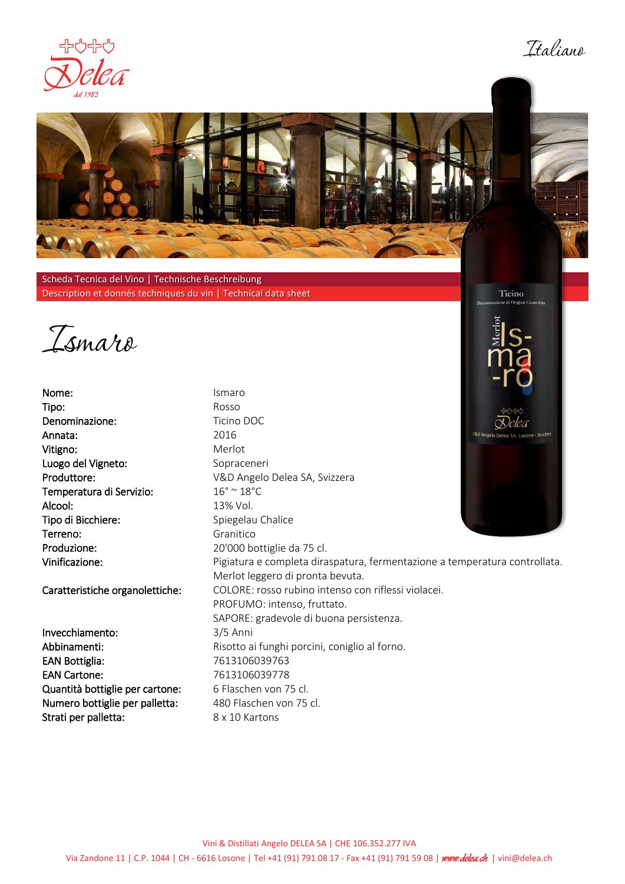

Ttaliana

Ticino



Scheda Tecnica del Vino | Technische Beschreibung Description et donnés techniques du vin | Technical data sheet

Ismaro

Nome: Ismaro Tipo: Rosso Denominazione: Ticino DOC Annata: Vitigno: Luogo del Vigneto: Produttore: Temperatura di Servizio: Alcool: Tipo di Bicchiere: Terreno: Produzione: Vinificazione:

Caratteristiche organolettiche:

Invecchiamento: Abbinamenti: EAN Bottiglia: 7613106039763 EAN Cartone: Quantità bottiglie per cartone: Numero bottiglie per palletta: Strati per palletta:

2016 Merlot Sopraceneri V&D Angelo Delea SA, Svizzera  $16^{\circ}$  ~  $18^{\circ}$ C 13% Vol. Spiegelau Chalice Granitico 20'000 bottiglie da 75 cl. Pigiatura e completa diraspatura, fermentazione a temperatura controllata. Merlot leggero di pronta bevuta. COLORE: rosso rubino intenso con riflessi violacei. PROFUMO: intenso, fruttato. SAPORE: gradevole di buona persistenza. 3/5 Anni Risotto ai funghi porcini, coniglio al forno. 7613106039778 6 Flaschen von 75 cl. 480 Flaschen von 75 cl. 8 x 10 Kartons

Vini & Distillati Angelo DELEA SA | CHE 106.352.277 IVA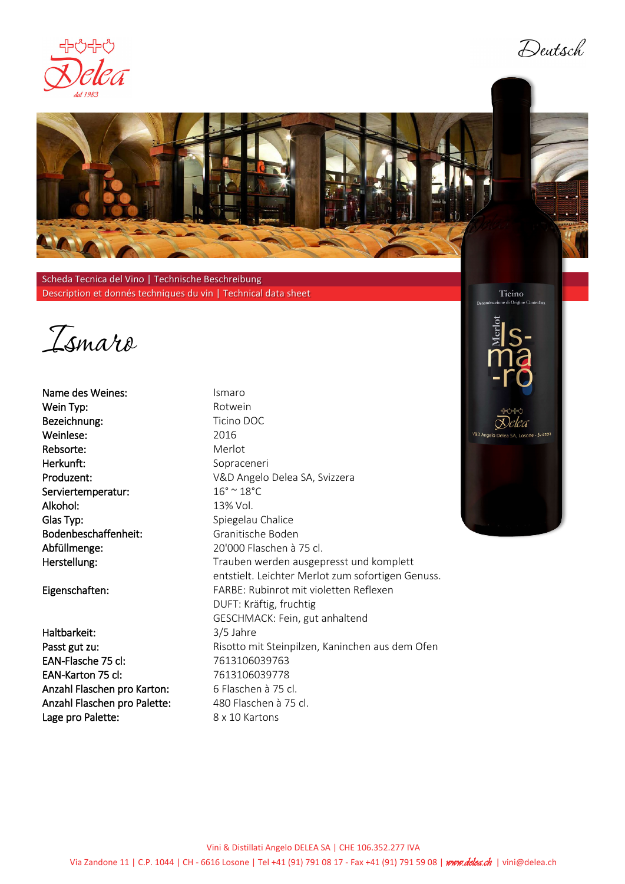

Deutsch



Scheda Tecnica del Vino | Technische Beschreibung Description et donnés techniques du vin | Technical data sheet

Ismaro

Name des Weines: Ismaro Wein Typ: Notwein Bezeichnung: Ticino DOC Weinlese: Rebsorte: Herkunft: Produzent: Serviertemperatur: Alkohol: Glas Typ: Bodenbeschaffenheit: Abfüllmenge: Herstellung:

Eigenschaften:

Haltbarkeit: Passt gut zu: EAN-Flasche 75 cl: 7613106039763 EAN-Karton 75 cl: Anzahl Flaschen pro Karton: Anzahl Flaschen pro Palette: Lage pro Palette:

2016 Merlot Sopraceneri V&D Angelo Delea SA, Svizzera  $16^{\circ}$  ~  $18^{\circ}$ C 13% Vol. Spiegelau Chalice Granitische Boden 20'000 Flaschen à 75 cl. Trauben werden ausgepresst und komplett entstielt. Leichter Merlot zum sofortigen Genuss. FARBE: Rubinrot mit violetten Reflexen DUFT: Kräftig, fruchtig GESCHMACK: Fein, gut anhaltend 3/5 Jahre Risotto mit Steinpilzen, Kaninchen aus dem Ofen 7613106039778 6 Flaschen à 75 cl. 480 Flaschen à 75 cl. 8 x 10 Kartons

Ticino

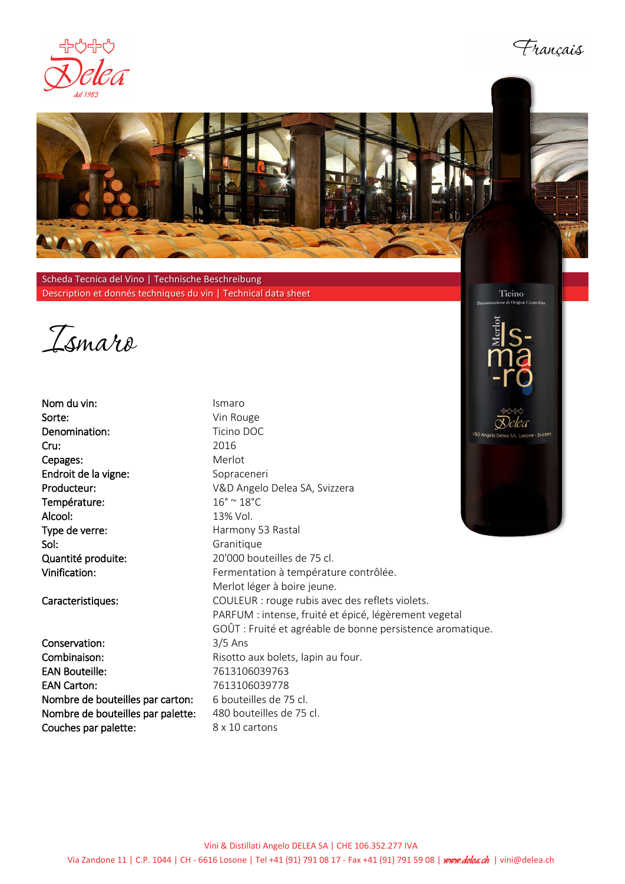





Scheda Tecnica del Vino | Technische Beschreibung Description et donnés techniques du vin | Technical data sheet

Ismaro

Nom du vin: Sorte: Denomination: Cru: Cepages: Endroit de la vigne: Producteur: Température: Alcool: Type de verre: Sol: Quantité produite: Vinification:

Caracteristiques:

Conservation: Combinaison: EAN Bouteille: 7613106039763 EAN Carton: 2613106039778 Nombre de bouteilles par carton: 6 bouteilles de 75 cl. Nombre de bouteilles par palette: 480 bouteilles de 75 cl. Couches par palette: 8 x 10 cartons

Ismaro Vin Rouge Ticino DOC 2016 Merlot Sopraceneri V&D Angelo Delea SA, Svizzera  $16^{\circ}$  ~  $18^{\circ}$ C 13% Vol. Harmony 53 Rastal Granitique 20'000 bouteilles de 75 cl. Fermentation à température contrôlée. Merlot léger à boire jeune. COULEUR : rouge rubis avec des reflets violets. PARFUM : intense, fruité et épicé, légèrement vegetal GOÛT : Fruité et agréable de bonne persistence aromatique. 3/5 Ans Risotto aux bolets, lapin au four.